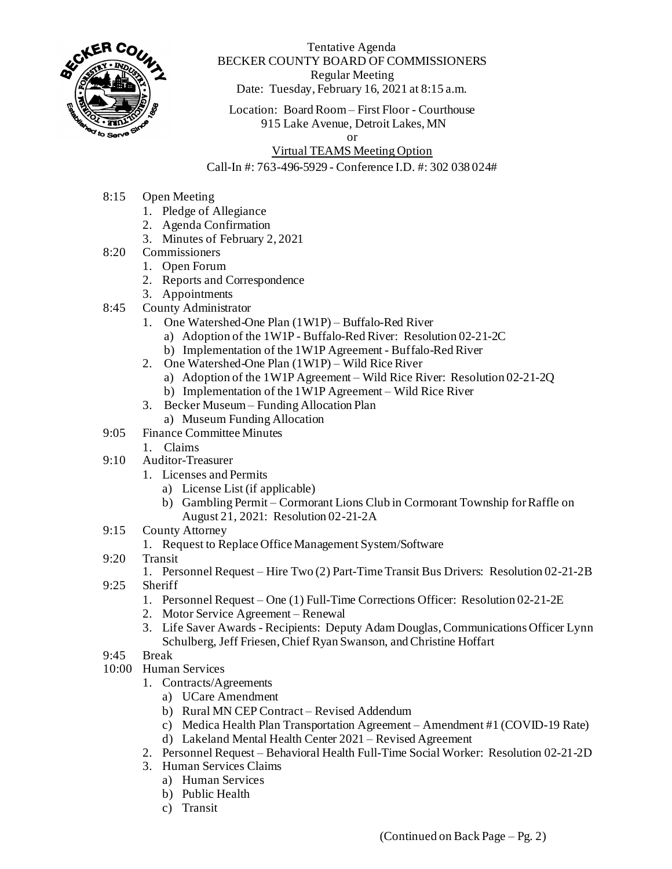

Tentative Agenda BECKER COUNTY BOARD OF COMMISSIONERS Regular Meeting Date: Tuesday, February 16, 2021 at 8:15 a.m.

Location: Board Room – First Floor - Courthouse 915 Lake Avenue, Detroit Lakes, MN

or

## Virtual TEAMS Meeting Option

## Call-In #: 763-496-5929 - Conference I.D. #: 302 038 024#

- 8:15 Open Meeting
	- 1. Pledge of Allegiance
	- 2. Agenda Confirmation
	- 3. Minutes of February 2, 2021
- 8:20 Commissioners
	- 1. Open Forum
		- 2. Reports and Correspondence
		- 3. Appointments
- 8:45 County Administrator
	- 1. One Watershed-One Plan (1W1P) Buffalo-Red River
		- a) Adoption of the 1W1P Buffalo-Red River: Resolution 02-21-2C
		- b) Implementation of the 1W1P Agreement Buffalo-Red River
	- 2. One Watershed-One Plan (1W1P) Wild Rice River
		- a) Adoption of the 1W1P Agreement Wild Rice River: Resolution 02-21-2Q
		- b) Implementation of the 1W1P Agreement Wild Rice River
	- 3. Becker Museum Funding Allocation Plan
		- a) Museum Funding Allocation
- 9:05 Finance Committee Minutes
	- 1. Claims
- 9:10 Auditor-Treasurer
	- 1. Licenses and Permits
		- a) License List (if applicable)
		- b) Gambling Permit Cormorant Lions Club in Cormorant Township for Raffle on August 21, 2021: Resolution 02-21-2A
- 9:15 County Attorney
	- 1. Request to Replace Office Management System/Software
- 9:20 Transit
	- 1. Personnel Request Hire Two (2) Part-Time Transit Bus Drivers: Resolution 02-21-2B
- 9:25 Sheriff
	- 1. Personnel Request One (1) Full-Time Corrections Officer: Resolution 02-21-2E
	- 2. Motor Service Agreement Renewal
	- 3. Life Saver Awards Recipients: Deputy Adam Douglas, Communications Officer Lynn Schulberg, Jeff Friesen, Chief Ryan Swanson, and Christine Hoffart
- 9:45 Break
- 10:00 Human Services
	- 1. Contracts/Agreements
		- a) UCare Amendment
		- b) Rural MN CEP Contract Revised Addendum
		- c) Medica Health Plan Transportation Agreement Amendment #1 (COVID-19 Rate)
		- d) Lakeland Mental Health Center 2021 Revised Agreement
	- 2. Personnel Request Behavioral Health Full-Time Social Worker: Resolution 02-21-2D
	- 3. Human Services Claims
		- a) Human Services
		- b) Public Health
		- c) Transit